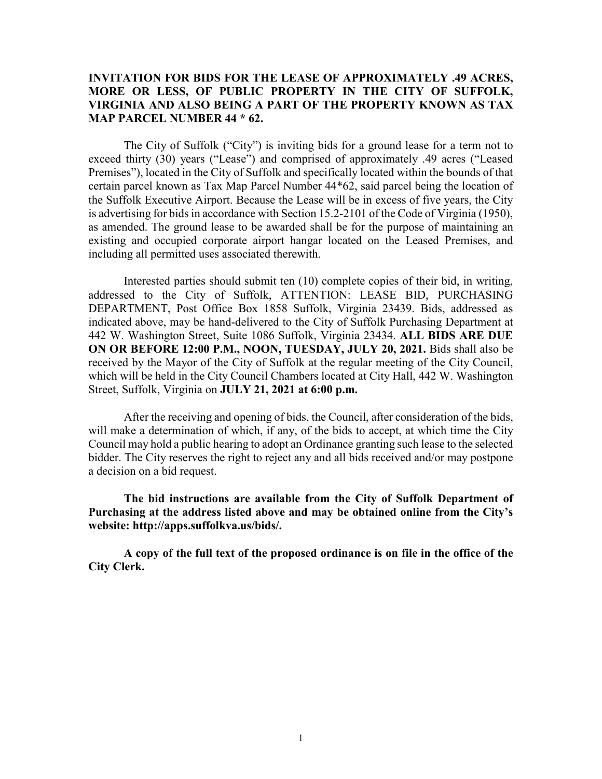### **INVITATION FOR BIDS FOR THE LEASE OF APPROXIMATELY .49 ACRES, MORE OR LESS, OF PUBLIC PROPERTY IN THE CITY OF SUFFOLK, VIRGINIA AND ALSO BEING A PART OF THE PROPERTY KNOWN AS TAX MAP PARCEL NUMBER 44 \* 62.**

The City of Suffolk ("City") is inviting bids for a ground lease for a term not to exceed thirty (30) years ("Lease") and comprised of approximately .49 acres ("Leased Premises"), located in the City of Suffolk and specifically located within the bounds of that certain parcel known as Tax Map Parcel Number 44\*62, said parcel being the location of the Suffolk Executive Airport. Because the Lease will be in excess of five years, the City is advertising for bids in accordance with Section 15.2-2101 of the Code of Virginia (1950), as amended. The ground lease to be awarded shall be for the purpose of maintaining an existing and occupied corporate airport hangar located on the Leased Premises, and including all permitted uses associated therewith.

Interested parties should submit ten (10) complete copies of their bid, in writing, addressed to the City of Suffolk, ATTENTION: LEASE BID, PURCHASING DEPARTMENT, Post Office Box 1858 Suffolk, Virginia 23439. Bids, addressed as indicated above, may be hand-delivered to the City of Suffolk Purchasing Department at 442 W. Washington Street, Suite 1086 Suffolk, Virginia 23434. **ALL BIDS ARE DUE ON OR BEFORE 12:00 P.M., NOON, TUESDAY, JULY 20, 2021.** Bids shall also be received by the Mayor of the City of Suffolk at the regular meeting of the City Council, which will be held in the City Council Chambers located at City Hall, 442 W. Washington Street, Suffolk, Virginia on **JULY 21, 2021 at 6:00 p.m.**

After the receiving and opening of bids, the Council, after consideration of the bids, will make a determination of which, if any, of the bids to accept, at which time the City Council may hold a public hearing to adopt an Ordinance granting such lease to the selected bidder. The City reserves the right to reject any and all bids received and/or may postpone a decision on a bid request.

**The bid instructions are available from the City of Suffolk Department of Purchasing at the address listed above and may be obtained online from the City's website: http://apps.suffolkva.us/bids/.** 

**A copy of the full text of the proposed ordinance is on file in the office of the City Clerk.**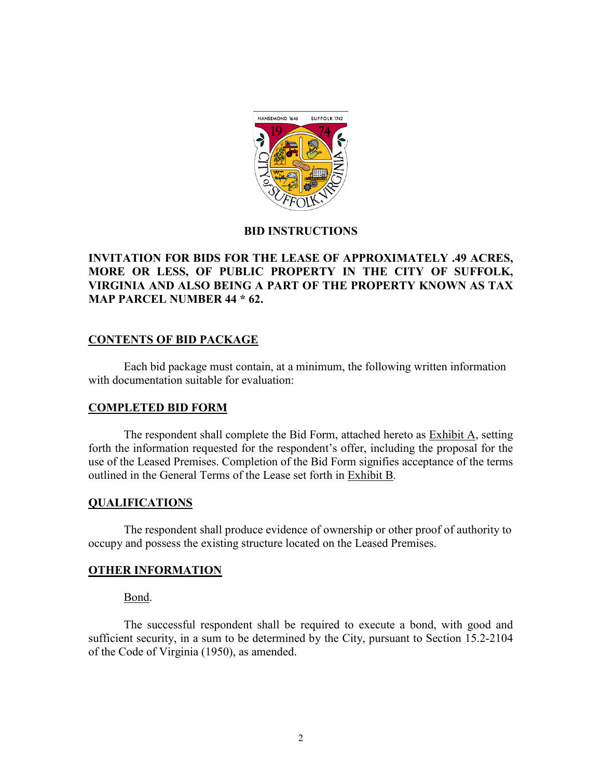

### **BID INSTRUCTIONS**

# **INVITATION FOR BIDS FOR THE LEASE OF APPROXIMATELY .49 ACRES, MORE OR LESS, OF PUBLIC PROPERTY IN THE CITY OF SUFFOLK, VIRGINIA AND ALSO BEING A PART OF THE PROPERTY KNOWN AS TAX MAP PARCEL NUMBER 44 \* 62.**

### **CONTENTS OF BID PACKAGE**

Each bid package must contain, at a minimum, the following written information with documentation suitable for evaluation:

#### **COMPLETED BID FORM**

The respondent shall complete the Bid Form, attached hereto as Exhibit A, setting forth the information requested for the respondent's offer, including the proposal for the use of the Leased Premises. Completion of the Bid Form signifies acceptance of the terms outlined in the General Terms of the Lease set forth in Exhibit B.

#### **QUALIFICATIONS**

The respondent shall produce evidence of ownership or other proof of authority to occupy and possess the existing structure located on the Leased Premises.

#### **OTHER INFORMATION**

Bond.

The successful respondent shall be required to execute a bond, with good and sufficient security, in a sum to be determined by the City, pursuant to Section 15.2-2104 of the Code of Virginia (1950), as amended.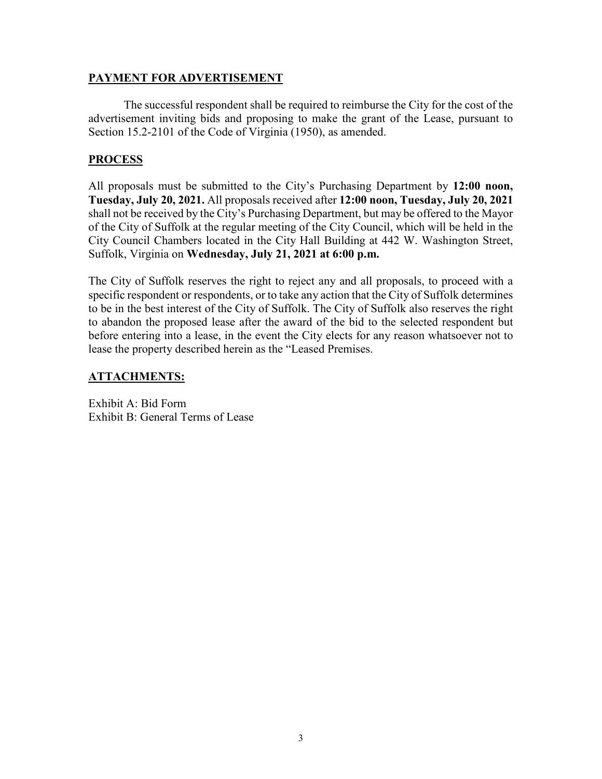### **PAYMENT FOR ADVERTISEMENT**

The successful respondent shall be required to reimburse the City for the cost of the advertisement inviting bids and proposing to make the grant of the Lease, pursuant to Section 15.2-2101 of the Code of Virginia (1950), as amended.

# **PROCESS**

All proposals must be submitted to the City's Purchasing Department by **12:00 noon, Tuesday, July 20, 2021.** All proposals received after **12:00 noon, Tuesday, July 20, 2021** shall not be received by the City's Purchasing Department, but may be offered to the Mayor of the City of Suffolk at the regular meeting of the City Council, which will be held in the City Council Chambers located in the City Hall Building at 442 W. Washington Street, Suffolk, Virginia on **Wednesday, July 21, 2021 at 6:00 p.m.**

The City of Suffolk reserves the right to reject any and all proposals, to proceed with a specific respondent or respondents, or to take any action that the City of Suffolk determines to be in the best interest of the City of Suffolk. The City of Suffolk also reserves the right to abandon the proposed lease after the award of the bid to the selected respondent but before entering into a lease, in the event the City elects for any reason whatsoever not to lease the property described herein as the "Leased Premises.

# **ATTACHMENTS:**

Exhibit A: Bid Form Exhibit B: General Terms of Lease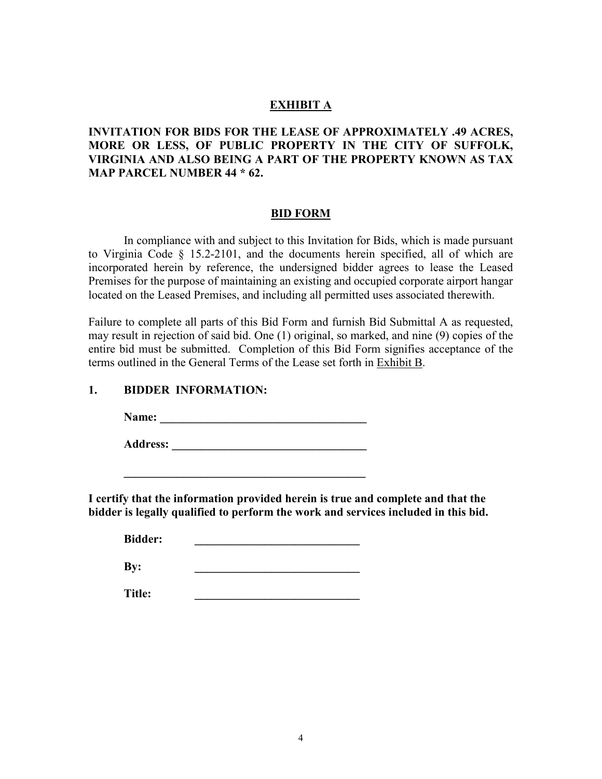### **EXHIBIT A**

# **INVITATION FOR BIDS FOR THE LEASE OF APPROXIMATELY .49 ACRES, MORE OR LESS, OF PUBLIC PROPERTY IN THE CITY OF SUFFOLK, VIRGINIA AND ALSO BEING A PART OF THE PROPERTY KNOWN AS TAX MAP PARCEL NUMBER 44 \* 62.**

#### **BID FORM**

In compliance with and subject to this Invitation for Bids, which is made pursuant to Virginia Code § 15.2-2101, and the documents herein specified, all of which are incorporated herein by reference, the undersigned bidder agrees to lease the Leased Premises for the purpose of maintaining an existing and occupied corporate airport hangar located on the Leased Premises, and including all permitted uses associated therewith.

Failure to complete all parts of this Bid Form and furnish Bid Submittal A as requested, may result in rejection of said bid. One (1) original, so marked, and nine (9) copies of the entire bid must be submitted. Completion of this Bid Form signifies acceptance of the terms outlined in the General Terms of the Lease set forth in Exhibit B.

### **1. BIDDER INFORMATION:**

**Name: \_\_\_\_\_\_\_\_\_\_\_\_\_\_\_\_\_\_\_\_\_\_\_\_\_\_\_\_\_\_\_\_\_\_\_**

Address:

**\_\_\_\_\_\_\_\_\_\_\_\_\_\_\_\_\_\_\_\_\_\_\_\_\_\_\_\_\_\_\_\_\_\_\_\_\_\_\_\_\_**

**I certify that the information provided herein is true and complete and that the bidder is legally qualified to perform the work and services included in this bid.** 

Bidder:

**By: \_\_\_\_\_\_\_\_\_\_\_\_\_\_\_\_\_\_\_\_\_\_\_\_\_\_\_\_**

**Title: \_\_\_\_\_\_\_\_\_\_\_\_\_\_\_\_\_\_\_\_\_\_\_\_\_\_\_\_**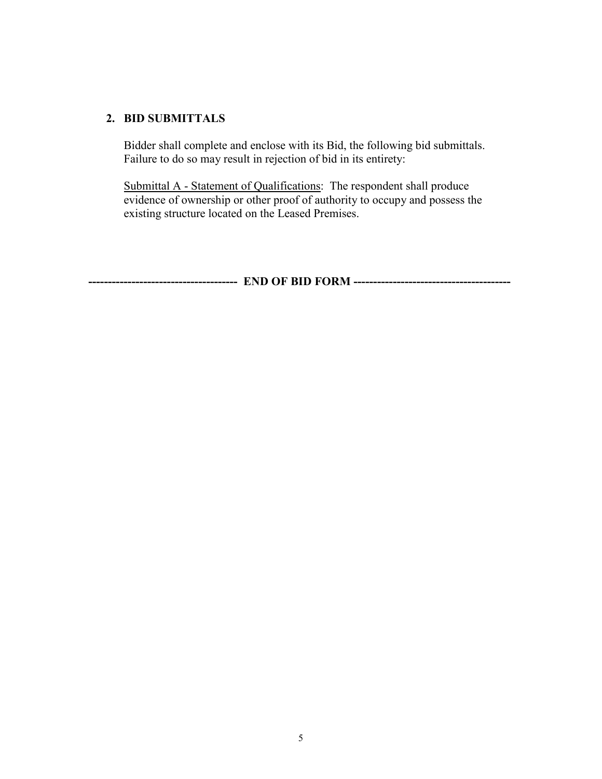### **2. BID SUBMITTALS**

Bidder shall complete and enclose with its Bid, the following bid submittals. Failure to do so may result in rejection of bid in its entirety:

Submittal A - Statement of Qualifications: The respondent shall produce evidence of ownership or other proof of authority to occupy and possess the existing structure located on the Leased Premises.

**-------------------------------------- END OF BID FORM ----------------------------------------**